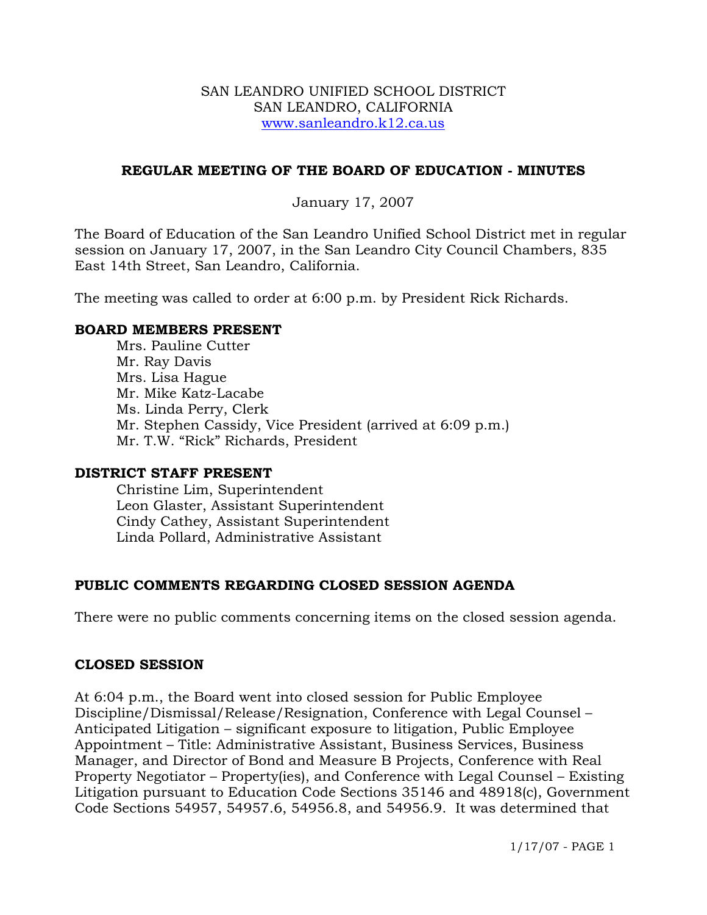#### SAN LEANDRO UNIFIED SCHOOL DISTRICT SAN LEANDRO, CALIFORNIA www.sanleandro.k12.ca.us

## **REGULAR MEETING OF THE BOARD OF EDUCATION - MINUTES**

## January 17, 2007

The Board of Education of the San Leandro Unified School District met in regular session on January 17, 2007, in the San Leandro City Council Chambers, 835 East 14th Street, San Leandro, California.

The meeting was called to order at 6:00 p.m. by President Rick Richards.

## **BOARD MEMBERS PRESENT**

Mrs. Pauline Cutter Mr. Ray Davis Mrs. Lisa Hague Mr. Mike Katz-Lacabe Ms. Linda Perry, Clerk Mr. Stephen Cassidy, Vice President (arrived at 6:09 p.m.) Mr. T.W. "Rick" Richards, President

## **DISTRICT STAFF PRESENT**

Christine Lim, Superintendent Leon Glaster, Assistant Superintendent Cindy Cathey, Assistant Superintendent Linda Pollard, Administrative Assistant

## **PUBLIC COMMENTS REGARDING CLOSED SESSION AGENDA**

There were no public comments concerning items on the closed session agenda.

## **CLOSED SESSION**

At 6:04 p.m., the Board went into closed session for Public Employee Discipline/Dismissal/Release/Resignation, Conference with Legal Counsel – Anticipated Litigation – significant exposure to litigation, Public Employee Appointment – Title: Administrative Assistant, Business Services, Business Manager, and Director of Bond and Measure B Projects, Conference with Real Property Negotiator – Property(ies), and Conference with Legal Counsel – Existing Litigation pursuant to Education Code Sections 35146 and 48918(c), Government Code Sections 54957, 54957.6, 54956.8, and 54956.9. It was determined that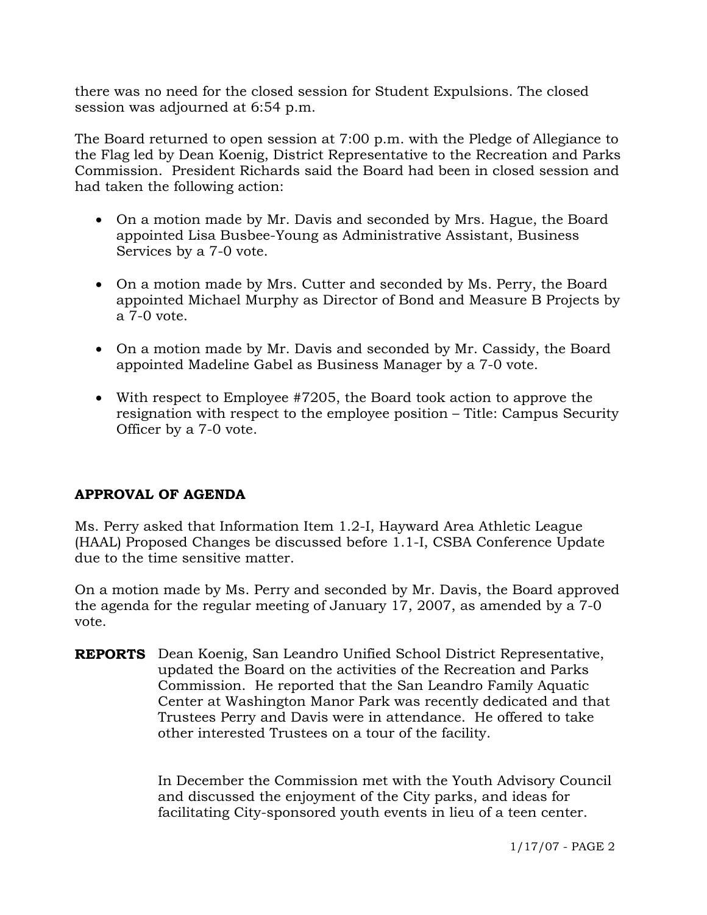there was no need for the closed session for Student Expulsions. The closed session was adjourned at 6:54 p.m.

The Board returned to open session at 7:00 p.m. with the Pledge of Allegiance to the Flag led by Dean Koenig, District Representative to the Recreation and Parks Commission. President Richards said the Board had been in closed session and had taken the following action:

- On a motion made by Mr. Davis and seconded by Mrs. Hague, the Board appointed Lisa Busbee-Young as Administrative Assistant, Business Services by a 7-0 vote.
- On a motion made by Mrs. Cutter and seconded by Ms. Perry, the Board appointed Michael Murphy as Director of Bond and Measure B Projects by a 7-0 vote.
- On a motion made by Mr. Davis and seconded by Mr. Cassidy, the Board appointed Madeline Gabel as Business Manager by a 7-0 vote.
- With respect to Employee #7205, the Board took action to approve the resignation with respect to the employee position – Title: Campus Security Officer by a 7-0 vote.

## **APPROVAL OF AGENDA**

Ms. Perry asked that Information Item 1.2-I, Hayward Area Athletic League (HAAL) Proposed Changes be discussed before 1.1-I, CSBA Conference Update due to the time sensitive matter.

On a motion made by Ms. Perry and seconded by Mr. Davis, the Board approved the agenda for the regular meeting of January 17, 2007, as amended by a 7-0 vote.

**REPORTS** Dean Koenig, San Leandro Unified School District Representative, updated the Board on the activities of the Recreation and Parks Commission. He reported that the San Leandro Family Aquatic Center at Washington Manor Park was recently dedicated and that Trustees Perry and Davis were in attendance. He offered to take other interested Trustees on a tour of the facility.

> In December the Commission met with the Youth Advisory Council and discussed the enjoyment of the City parks, and ideas for facilitating City-sponsored youth events in lieu of a teen center.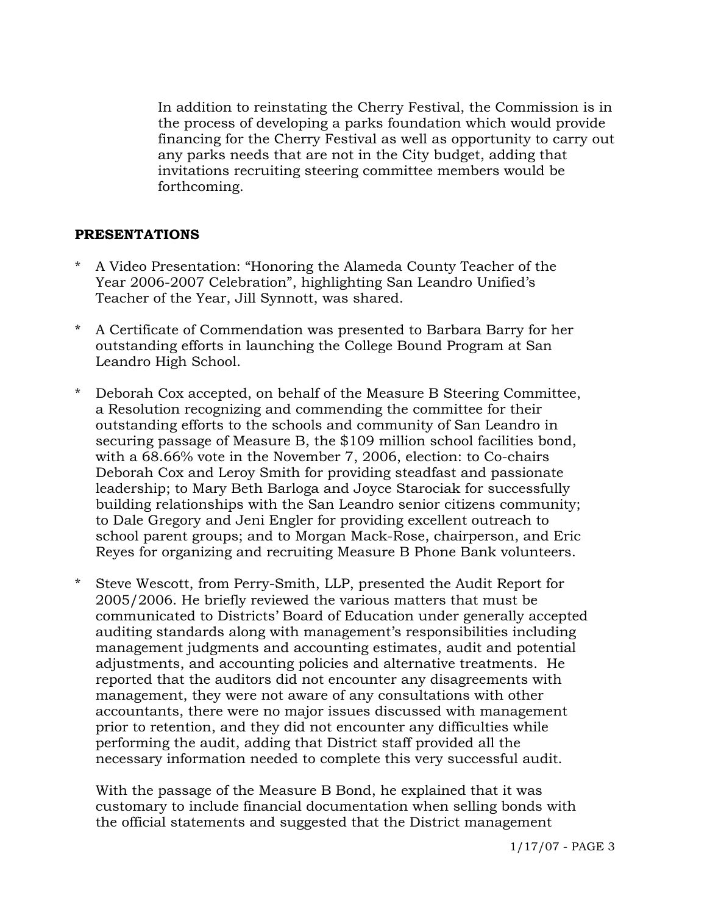In addition to reinstating the Cherry Festival, the Commission is in the process of developing a parks foundation which would provide financing for the Cherry Festival as well as opportunity to carry out any parks needs that are not in the City budget, adding that invitations recruiting steering committee members would be forthcoming.

## **PRESENTATIONS**

- A Video Presentation: "Honoring the Alameda County Teacher of the Year 2006-2007 Celebration", highlighting San Leandro Unified's Teacher of the Year, Jill Synnott, was shared.
- A Certificate of Commendation was presented to Barbara Barry for her outstanding efforts in launching the College Bound Program at San Leandro High School.
- \* Deborah Cox accepted, on behalf of the Measure B Steering Committee, a Resolution recognizing and commending the committee for their outstanding efforts to the schools and community of San Leandro in securing passage of Measure B, the \$109 million school facilities bond, with a 68.66% vote in the November 7, 2006, election: to Co-chairs Deborah Cox and Leroy Smith for providing steadfast and passionate leadership; to Mary Beth Barloga and Joyce Starociak for successfully building relationships with the San Leandro senior citizens community; to Dale Gregory and Jeni Engler for providing excellent outreach to school parent groups; and to Morgan Mack-Rose, chairperson, and Eric Reyes for organizing and recruiting Measure B Phone Bank volunteers.
- \* Steve Wescott, from Perry-Smith, LLP, presented the Audit Report for 2005/2006. He briefly reviewed the various matters that must be communicated to Districts' Board of Education under generally accepted auditing standards along with management's responsibilities including management judgments and accounting estimates, audit and potential adjustments, and accounting policies and alternative treatments. He reported that the auditors did not encounter any disagreements with management, they were not aware of any consultations with other accountants, there were no major issues discussed with management prior to retention, and they did not encounter any difficulties while performing the audit, adding that District staff provided all the necessary information needed to complete this very successful audit.

 With the passage of the Measure B Bond, he explained that it was customary to include financial documentation when selling bonds with the official statements and suggested that the District management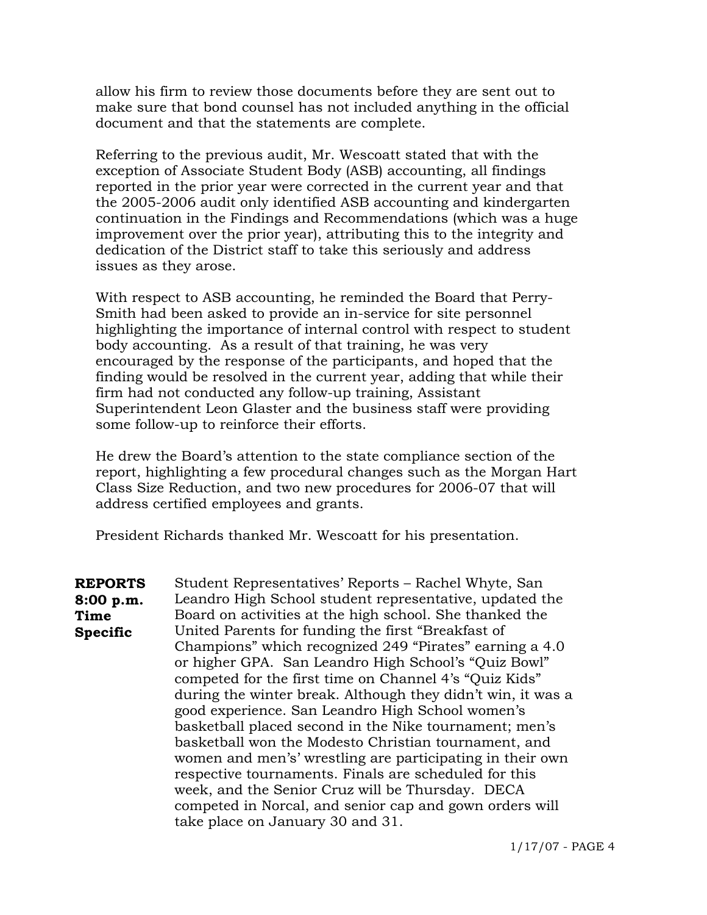allow his firm to review those documents before they are sent out to make sure that bond counsel has not included anything in the official document and that the statements are complete.

 Referring to the previous audit, Mr. Wescoatt stated that with the exception of Associate Student Body (ASB) accounting, all findings reported in the prior year were corrected in the current year and that the 2005-2006 audit only identified ASB accounting and kindergarten continuation in the Findings and Recommendations (which was a huge improvement over the prior year), attributing this to the integrity and dedication of the District staff to take this seriously and address issues as they arose.

 With respect to ASB accounting, he reminded the Board that Perry- Smith had been asked to provide an in-service for site personnel highlighting the importance of internal control with respect to student body accounting. As a result of that training, he was very encouraged by the response of the participants, and hoped that the finding would be resolved in the current year, adding that while their firm had not conducted any follow-up training, Assistant Superintendent Leon Glaster and the business staff were providing some follow-up to reinforce their efforts.

 He drew the Board's attention to the state compliance section of the report, highlighting a few procedural changes such as the Morgan Hart Class Size Reduction, and two new procedures for 2006-07 that will address certified employees and grants.

President Richards thanked Mr. Wescoatt for his presentation.

**REPORTS 8:00 p.m. Time Specific**  Student Representatives' Reports – Rachel Whyte, San Leandro High School student representative, updated the Board on activities at the high school. She thanked the United Parents for funding the first "Breakfast of Champions" which recognized 249 "Pirates" earning a 4.0 or higher GPA. San Leandro High School's "Quiz Bowl" competed for the first time on Channel 4's "Quiz Kids" during the winter break. Although they didn't win, it was a good experience. San Leandro High School women's basketball placed second in the Nike tournament; men's basketball won the Modesto Christian tournament, and women and men's' wrestling are participating in their own respective tournaments. Finals are scheduled for this week, and the Senior Cruz will be Thursday. DECA competed in Norcal, and senior cap and gown orders will take place on January 30 and 31.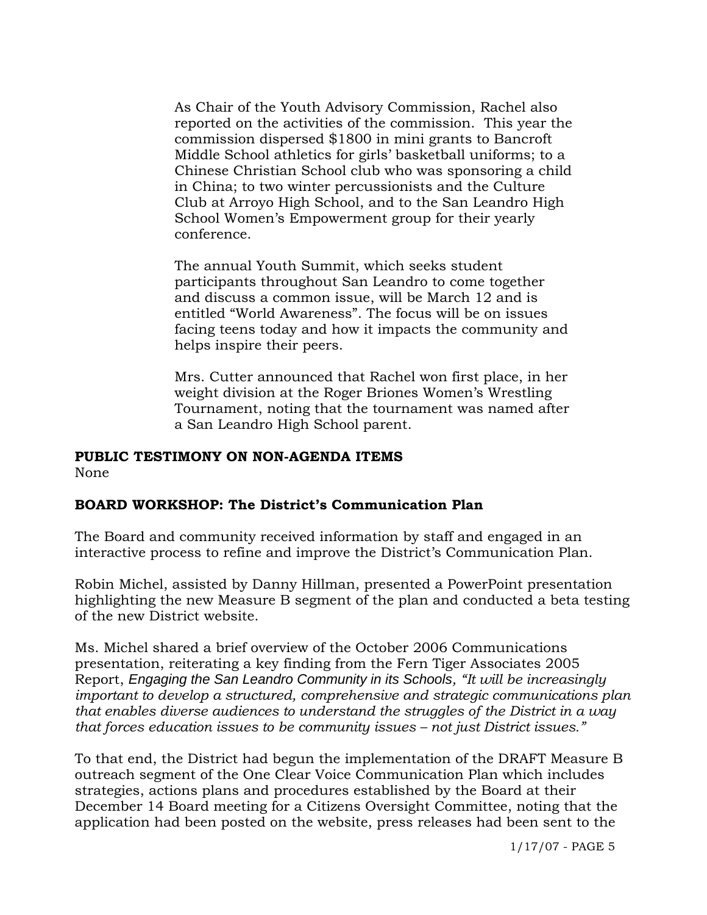As Chair of the Youth Advisory Commission, Rachel also reported on the activities of the commission. This year the commission dispersed \$1800 in mini grants to Bancroft Middle School athletics for girls' basketball uniforms; to a Chinese Christian School club who was sponsoring a child in China; to two winter percussionists and the Culture Club at Arroyo High School, and to the San Leandro High School Women's Empowerment group for their yearly conference.

The annual Youth Summit, which seeks student participants throughout San Leandro to come together and discuss a common issue, will be March 12 and is entitled "World Awareness". The focus will be on issues facing teens today and how it impacts the community and helps inspire their peers.

Mrs. Cutter announced that Rachel won first place, in her weight division at the Roger Briones Women's Wrestling Tournament, noting that the tournament was named after a San Leandro High School parent.

# **PUBLIC TESTIMONY ON NON-AGENDA ITEMS**

None

## **BOARD WORKSHOP: The District's Communication Plan**

The Board and community received information by staff and engaged in an interactive process to refine and improve the District's Communication Plan.

Robin Michel, assisted by Danny Hillman, presented a PowerPoint presentation highlighting the new Measure B segment of the plan and conducted a beta testing of the new District website.

Ms. Michel shared a brief overview of the October 2006 Communications presentation, reiterating a key finding from the Fern Tiger Associates 2005 Report, *Engaging the San Leandro Community in its Schools, "It will be increasingly important to develop a structured, comprehensive and strategic communications plan that enables diverse audiences to understand the struggles of the District in a way that forces education issues to be community issues – not just District issues."* 

To that end, the District had begun the implementation of the DRAFT Measure B outreach segment of the One Clear Voice Communication Plan which includes strategies, actions plans and procedures established by the Board at their December 14 Board meeting for a Citizens Oversight Committee, noting that the application had been posted on the website, press releases had been sent to the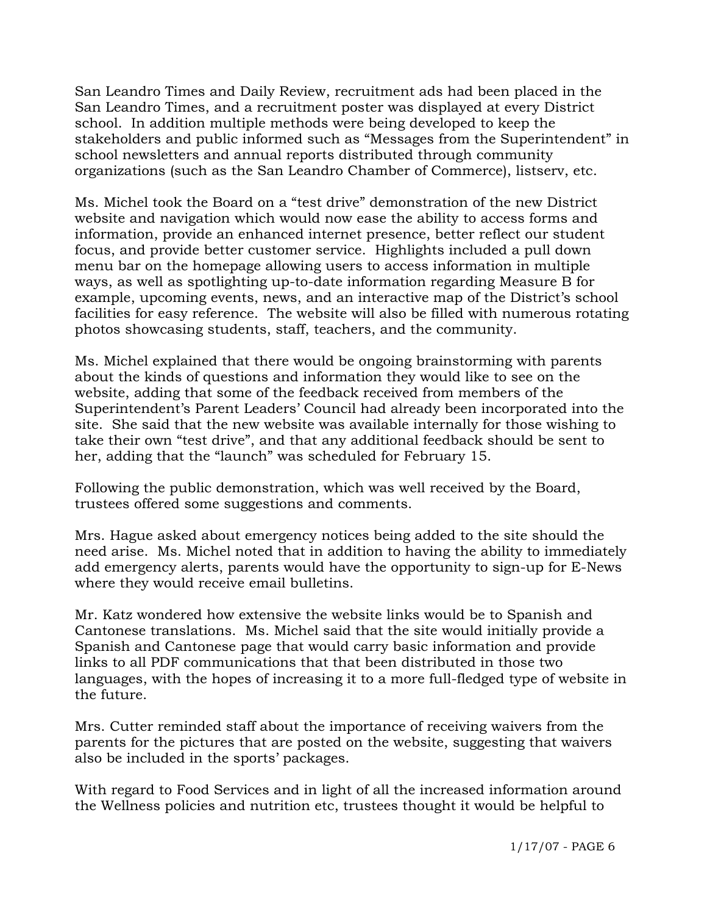San Leandro Times and Daily Review, recruitment ads had been placed in the San Leandro Times, and a recruitment poster was displayed at every District school. In addition multiple methods were being developed to keep the stakeholders and public informed such as "Messages from the Superintendent" in school newsletters and annual reports distributed through community organizations (such as the San Leandro Chamber of Commerce), listserv, etc.

Ms. Michel took the Board on a "test drive" demonstration of the new District website and navigation which would now ease the ability to access forms and information, provide an enhanced internet presence, better reflect our student focus, and provide better customer service. Highlights included a pull down menu bar on the homepage allowing users to access information in multiple ways, as well as spotlighting up-to-date information regarding Measure B for example, upcoming events, news, and an interactive map of the District's school facilities for easy reference. The website will also be filled with numerous rotating photos showcasing students, staff, teachers, and the community.

Ms. Michel explained that there would be ongoing brainstorming with parents about the kinds of questions and information they would like to see on the website, adding that some of the feedback received from members of the Superintendent's Parent Leaders' Council had already been incorporated into the site. She said that the new website was available internally for those wishing to take their own "test drive", and that any additional feedback should be sent to her, adding that the "launch" was scheduled for February 15.

Following the public demonstration, which was well received by the Board, trustees offered some suggestions and comments.

Mrs. Hague asked about emergency notices being added to the site should the need arise. Ms. Michel noted that in addition to having the ability to immediately add emergency alerts, parents would have the opportunity to sign-up for E-News where they would receive email bulletins.

Mr. Katz wondered how extensive the website links would be to Spanish and Cantonese translations. Ms. Michel said that the site would initially provide a Spanish and Cantonese page that would carry basic information and provide links to all PDF communications that that been distributed in those two languages, with the hopes of increasing it to a more full-fledged type of website in the future.

Mrs. Cutter reminded staff about the importance of receiving waivers from the parents for the pictures that are posted on the website, suggesting that waivers also be included in the sports' packages.

With regard to Food Services and in light of all the increased information around the Wellness policies and nutrition etc, trustees thought it would be helpful to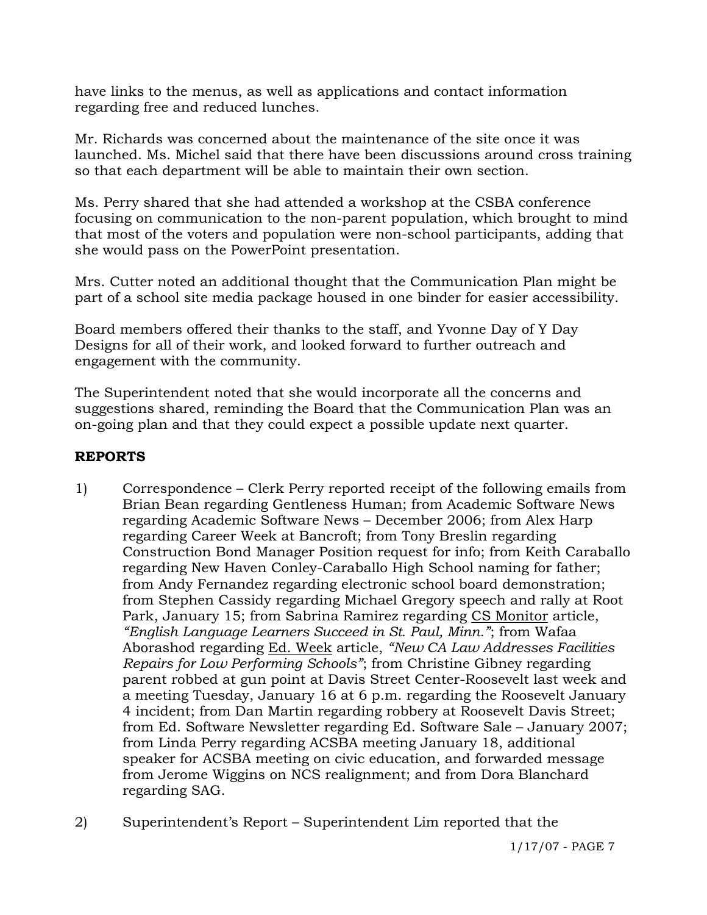have links to the menus, as well as applications and contact information regarding free and reduced lunches.

Mr. Richards was concerned about the maintenance of the site once it was launched. Ms. Michel said that there have been discussions around cross training so that each department will be able to maintain their own section.

Ms. Perry shared that she had attended a workshop at the CSBA conference focusing on communication to the non-parent population, which brought to mind that most of the voters and population were non-school participants, adding that she would pass on the PowerPoint presentation.

Mrs. Cutter noted an additional thought that the Communication Plan might be part of a school site media package housed in one binder for easier accessibility.

Board members offered their thanks to the staff, and Yvonne Day of Y Day Designs for all of their work, and looked forward to further outreach and engagement with the community.

The Superintendent noted that she would incorporate all the concerns and suggestions shared, reminding the Board that the Communication Plan was an on-going plan and that they could expect a possible update next quarter.

## **REPORTS**

- 1) Correspondence Clerk Perry reported receipt of the following emails from Brian Bean regarding Gentleness Human; from Academic Software News regarding Academic Software News – December 2006; from Alex Harp regarding Career Week at Bancroft; from Tony Breslin regarding Construction Bond Manager Position request for info; from Keith Caraballo regarding New Haven Conley-Caraballo High School naming for father; from Andy Fernandez regarding electronic school board demonstration; from Stephen Cassidy regarding Michael Gregory speech and rally at Root Park, January 15; from Sabrina Ramirez regarding CS Monitor article, *"English Language Learners Succeed in St. Paul, Minn."*; from Wafaa Aborashod regarding Ed. Week article, *"New CA Law Addresses Facilities Repairs for Low Performing Schools"*; from Christine Gibney regarding parent robbed at gun point at Davis Street Center-Roosevelt last week and a meeting Tuesday, January 16 at 6 p.m. regarding the Roosevelt January 4 incident; from Dan Martin regarding robbery at Roosevelt Davis Street; from Ed. Software Newsletter regarding Ed. Software Sale – January 2007; from Linda Perry regarding ACSBA meeting January 18, additional speaker for ACSBA meeting on civic education, and forwarded message from Jerome Wiggins on NCS realignment; and from Dora Blanchard regarding SAG.
- 2) Superintendent's Report Superintendent Lim reported that the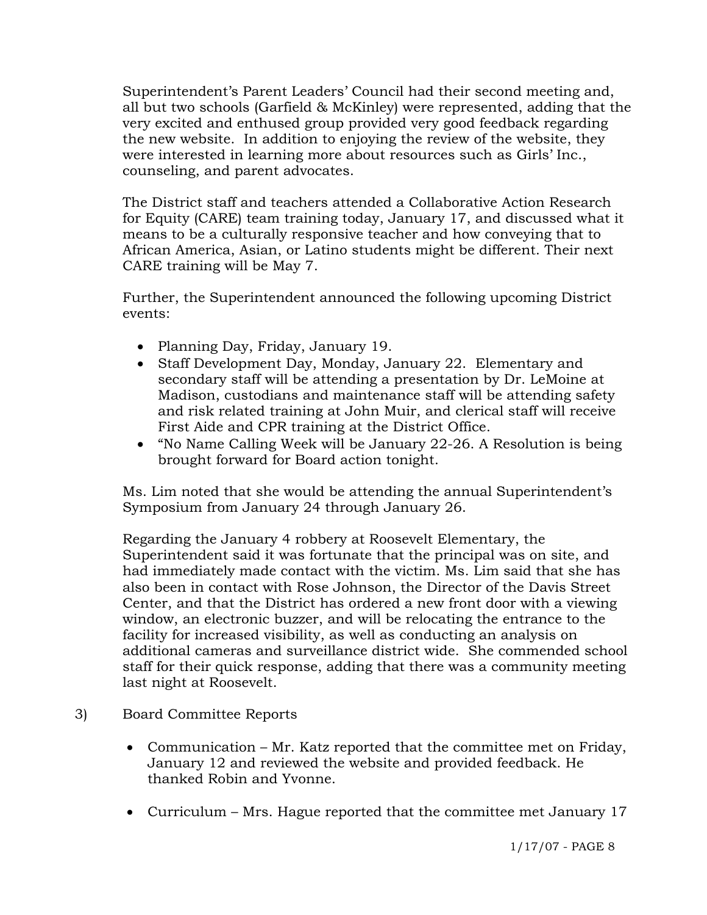Superintendent's Parent Leaders' Council had their second meeting and, all but two schools (Garfield & McKinley) were represented, adding that the very excited and enthused group provided very good feedback regarding the new website. In addition to enjoying the review of the website, they were interested in learning more about resources such as Girls' Inc., counseling, and parent advocates.

The District staff and teachers attended a Collaborative Action Research for Equity (CARE) team training today, January 17, and discussed what it means to be a culturally responsive teacher and how conveying that to African America, Asian, or Latino students might be different. Their next CARE training will be May 7.

Further, the Superintendent announced the following upcoming District events:

- Planning Day, Friday, January 19.
- Staff Development Day, Monday, January 22. Elementary and secondary staff will be attending a presentation by Dr. LeMoine at Madison, custodians and maintenance staff will be attending safety and risk related training at John Muir, and clerical staff will receive First Aide and CPR training at the District Office.
- "No Name Calling Week will be January 22-26. A Resolution is being brought forward for Board action tonight.

Ms. Lim noted that she would be attending the annual Superintendent's Symposium from January 24 through January 26.

Regarding the January 4 robbery at Roosevelt Elementary, the Superintendent said it was fortunate that the principal was on site, and had immediately made contact with the victim. Ms. Lim said that she has also been in contact with Rose Johnson, the Director of the Davis Street Center, and that the District has ordered a new front door with a viewing window, an electronic buzzer, and will be relocating the entrance to the facility for increased visibility, as well as conducting an analysis on additional cameras and surveillance district wide. She commended school staff for their quick response, adding that there was a community meeting last night at Roosevelt.

- 3) Board Committee Reports
	- Communication Mr. Katz reported that the committee met on Friday, January 12 and reviewed the website and provided feedback. He thanked Robin and Yvonne.
	- Curriculum Mrs. Hague reported that the committee met January 17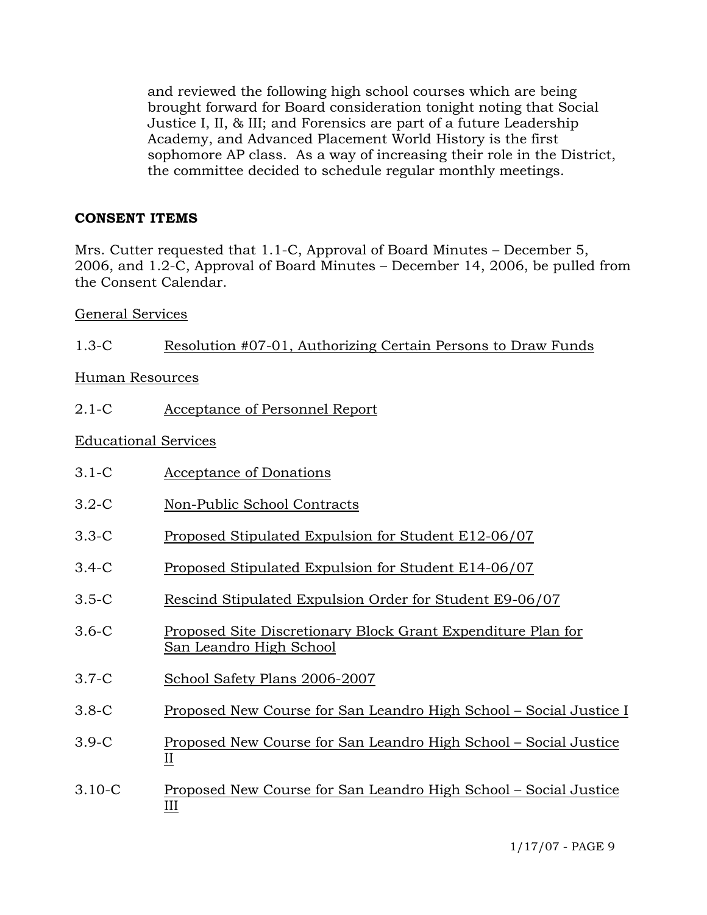and reviewed the following high school courses which are being brought forward for Board consideration tonight noting that Social Justice I, II, & III; and Forensics are part of a future Leadership Academy, and Advanced Placement World History is the first sophomore AP class. As a way of increasing their role in the District, the committee decided to schedule regular monthly meetings.

## **CONSENT ITEMS**

Mrs. Cutter requested that 1.1-C, Approval of Board Minutes – December 5, 2006, and 1.2-C, Approval of Board Minutes – December 14, 2006, be pulled from the Consent Calendar.

General Services

Human Resources

2.1-C Acceptance of Personnel Report

Educational Services

- 3.1-C Acceptance of Donations
- 3.2-C Non-Public School Contracts
- 3.3-C Proposed Stipulated Expulsion for Student E12-06/07
- 3.4-C Proposed Stipulated Expulsion for Student E14-06/07
- 3.5-C Rescind Stipulated Expulsion Order for Student E9-06/07
- 3.6-C Proposed Site Discretionary Block Grant Expenditure Plan for San Leandro High School
- 3.7-C School Safety Plans 2006-2007
- 3.8-C Proposed New Course for San Leandro High School Social Justice I
- 3.9-C Proposed New Course for San Leandro High School Social Justice II
- 3.10-C Proposed New Course for San Leandro High School Social Justice III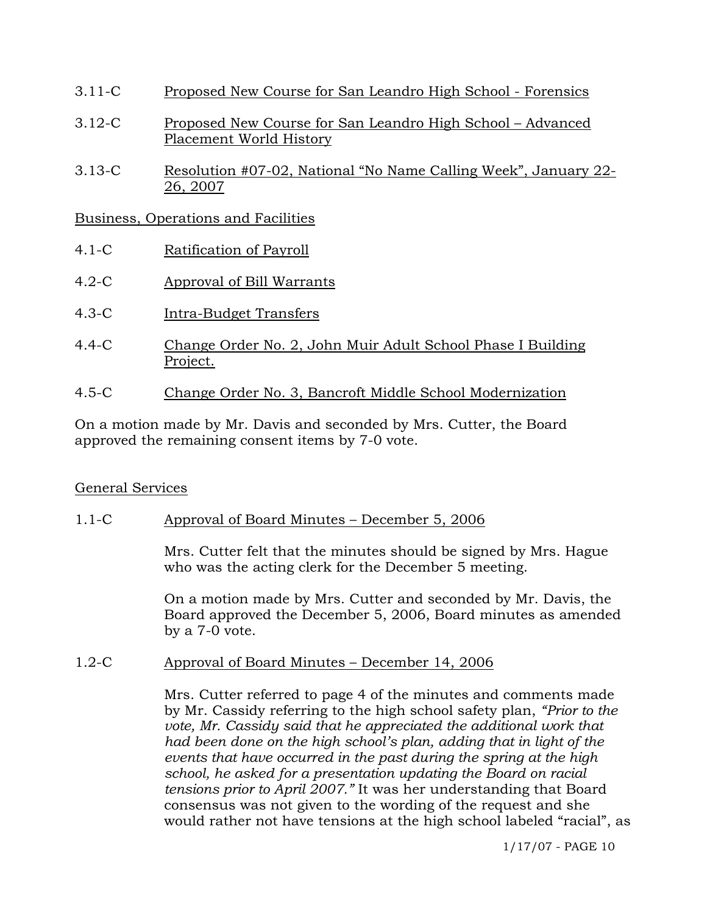- 3.11-C Proposed New Course for San Leandro High School Forensics
- 3.12-C Proposed New Course for San Leandro High School Advanced Placement World History
- 3.13-C Resolution #07-02, National "No Name Calling Week", January 22- 26, 2007

Business, Operations and Facilities

- 4.1-C Ratification of Payroll
- 4.2-C Approval of Bill Warrants
- 4.3-C Intra-Budget Transfers
- 4.4-C Change Order No. 2, John Muir Adult School Phase I Building Project.
- 4.5-C Change Order No. 3, Bancroft Middle School Modernization

On a motion made by Mr. Davis and seconded by Mrs. Cutter, the Board approved the remaining consent items by 7-0 vote.

## General Services

## 1.1-C Approval of Board Minutes – December 5, 2006

Mrs. Cutter felt that the minutes should be signed by Mrs. Hague who was the acting clerk for the December 5 meeting.

On a motion made by Mrs. Cutter and seconded by Mr. Davis, the Board approved the December 5, 2006, Board minutes as amended by a 7-0 vote.

1.2-C Approval of Board Minutes – December 14, 2006

Mrs. Cutter referred to page 4 of the minutes and comments made by Mr. Cassidy referring to the high school safety plan, *"Prior to the vote, Mr. Cassidy said that he appreciated the additional work that had been done on the high school's plan, adding that in light of the events that have occurred in the past during the spring at the high school, he asked for a presentation updating the Board on racial tensions prior to April 2007."* It was her understanding that Board consensus was not given to the wording of the request and she would rather not have tensions at the high school labeled "racial", as

1/17/07 - PAGE 10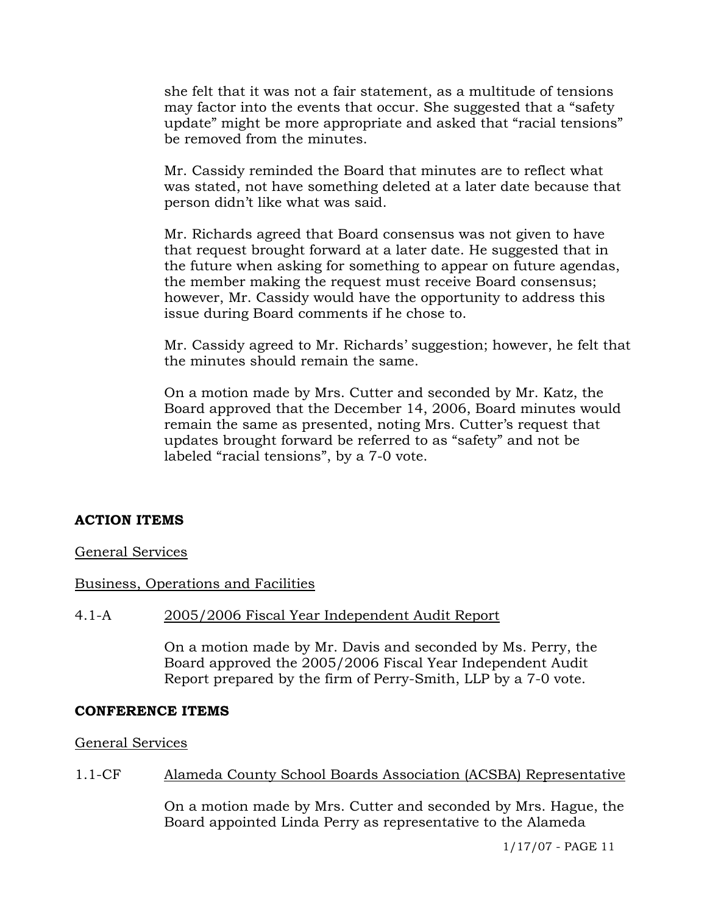she felt that it was not a fair statement, as a multitude of tensions may factor into the events that occur. She suggested that a "safety update" might be more appropriate and asked that "racial tensions" be removed from the minutes.

Mr. Cassidy reminded the Board that minutes are to reflect what was stated, not have something deleted at a later date because that person didn't like what was said.

Mr. Richards agreed that Board consensus was not given to have that request brought forward at a later date. He suggested that in the future when asking for something to appear on future agendas, the member making the request must receive Board consensus; however, Mr. Cassidy would have the opportunity to address this issue during Board comments if he chose to.

Mr. Cassidy agreed to Mr. Richards' suggestion; however, he felt that the minutes should remain the same.

On a motion made by Mrs. Cutter and seconded by Mr. Katz, the Board approved that the December 14, 2006, Board minutes would remain the same as presented, noting Mrs. Cutter's request that updates brought forward be referred to as "safety" and not be labeled "racial tensions", by a 7-0 vote.

## **ACTION ITEMS**

#### General Services

## Business, Operations and Facilities

#### 4.1-A 2005/2006 Fiscal Year Independent Audit Report

On a motion made by Mr. Davis and seconded by Ms. Perry, the Board approved the 2005/2006 Fiscal Year Independent Audit Report prepared by the firm of Perry-Smith, LLP by a 7-0 vote.

#### **CONFERENCE ITEMS**

General Services

#### 1.1-CF Alameda County School Boards Association (ACSBA) Representative

On a motion made by Mrs. Cutter and seconded by Mrs. Hague, the Board appointed Linda Perry as representative to the Alameda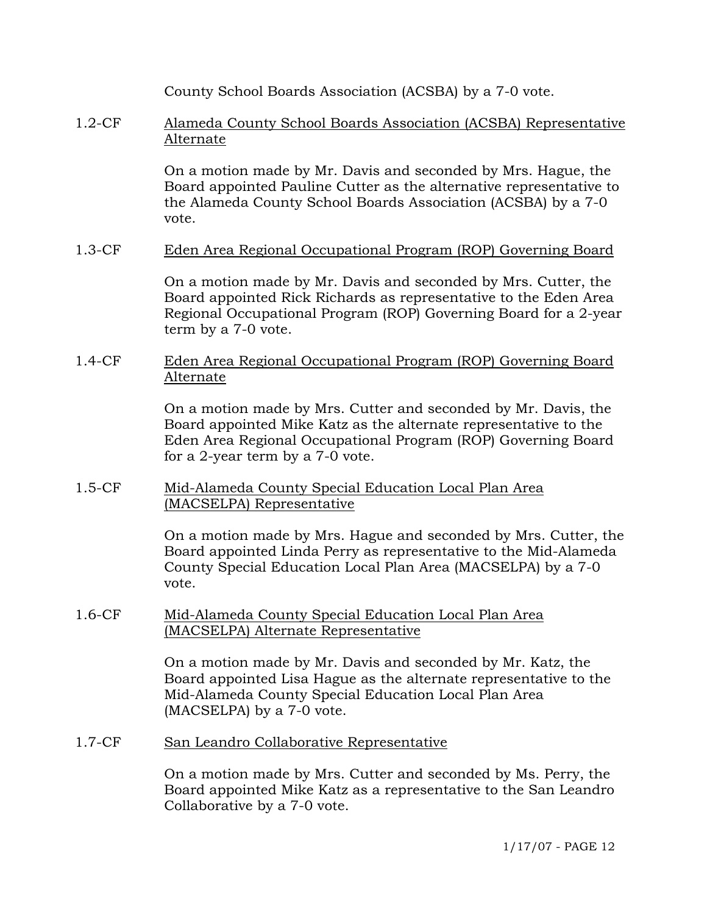County School Boards Association (ACSBA) by a 7-0 vote.

1.2-CF Alameda County School Boards Association (ACSBA) Representative Alternate

> On a motion made by Mr. Davis and seconded by Mrs. Hague, the Board appointed Pauline Cutter as the alternative representative to the Alameda County School Boards Association (ACSBA) by a 7-0 vote.

1.3-CF Eden Area Regional Occupational Program (ROP) Governing Board

On a motion made by Mr. Davis and seconded by Mrs. Cutter, the Board appointed Rick Richards as representative to the Eden Area Regional Occupational Program (ROP) Governing Board for a 2-year term by a 7-0 vote.

1.4-CF Eden Area Regional Occupational Program (ROP) Governing Board Alternate

> On a motion made by Mrs. Cutter and seconded by Mr. Davis, the Board appointed Mike Katz as the alternate representative to the Eden Area Regional Occupational Program (ROP) Governing Board for a 2-year term by a 7-0 vote.

1.5-CF Mid-Alameda County Special Education Local Plan Area (MACSELPA) Representative

> On a motion made by Mrs. Hague and seconded by Mrs. Cutter, the Board appointed Linda Perry as representative to the Mid-Alameda County Special Education Local Plan Area (MACSELPA) by a 7-0 vote.

1.6-CF Mid-Alameda County Special Education Local Plan Area (MACSELPA) Alternate Representative

> On a motion made by Mr. Davis and seconded by Mr. Katz, the Board appointed Lisa Hague as the alternate representative to the Mid-Alameda County Special Education Local Plan Area (MACSELPA) by a 7-0 vote.

1.7-CF San Leandro Collaborative Representative

On a motion made by Mrs. Cutter and seconded by Ms. Perry, the Board appointed Mike Katz as a representative to the San Leandro Collaborative by a 7-0 vote.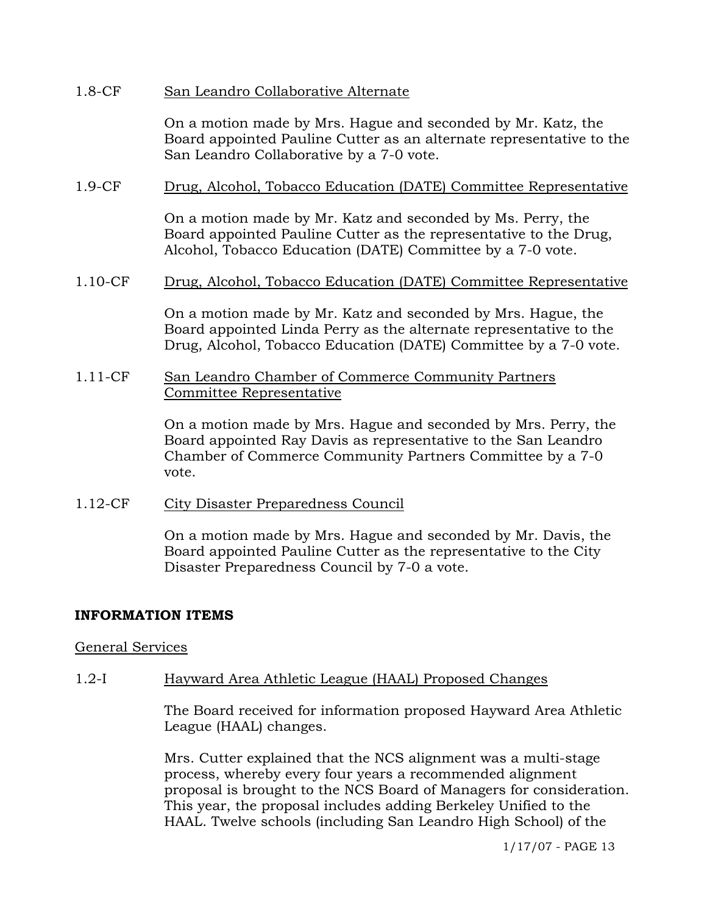#### 1.8-CF San Leandro Collaborative Alternate

On a motion made by Mrs. Hague and seconded by Mr. Katz, the Board appointed Pauline Cutter as an alternate representative to the San Leandro Collaborative by a 7-0 vote.

## 1.9-CF Drug, Alcohol, Tobacco Education (DATE) Committee Representative

On a motion made by Mr. Katz and seconded by Ms. Perry, the Board appointed Pauline Cutter as the representative to the Drug, Alcohol, Tobacco Education (DATE) Committee by a 7-0 vote.

#### 1.10-CF Drug, Alcohol, Tobacco Education (DATE) Committee Representative

On a motion made by Mr. Katz and seconded by Mrs. Hague, the Board appointed Linda Perry as the alternate representative to the Drug, Alcohol, Tobacco Education (DATE) Committee by a 7-0 vote.

### 1.11-CF San Leandro Chamber of Commerce Community Partners Committee Representative

On a motion made by Mrs. Hague and seconded by Mrs. Perry, the Board appointed Ray Davis as representative to the San Leandro Chamber of Commerce Community Partners Committee by a 7-0 vote.

#### 1.12-CF City Disaster Preparedness Council

On a motion made by Mrs. Hague and seconded by Mr. Davis, the Board appointed Pauline Cutter as the representative to the City Disaster Preparedness Council by 7-0 a vote.

## **INFORMATION ITEMS**

#### General Services

## 1.2-I Hayward Area Athletic League (HAAL) Proposed Changes

The Board received for information proposed Hayward Area Athletic League (HAAL) changes.

Mrs. Cutter explained that the NCS alignment was a multi-stage process, whereby every four years a recommended alignment proposal is brought to the NCS Board of Managers for consideration. This year, the proposal includes adding Berkeley Unified to the HAAL. Twelve schools (including San Leandro High School) of the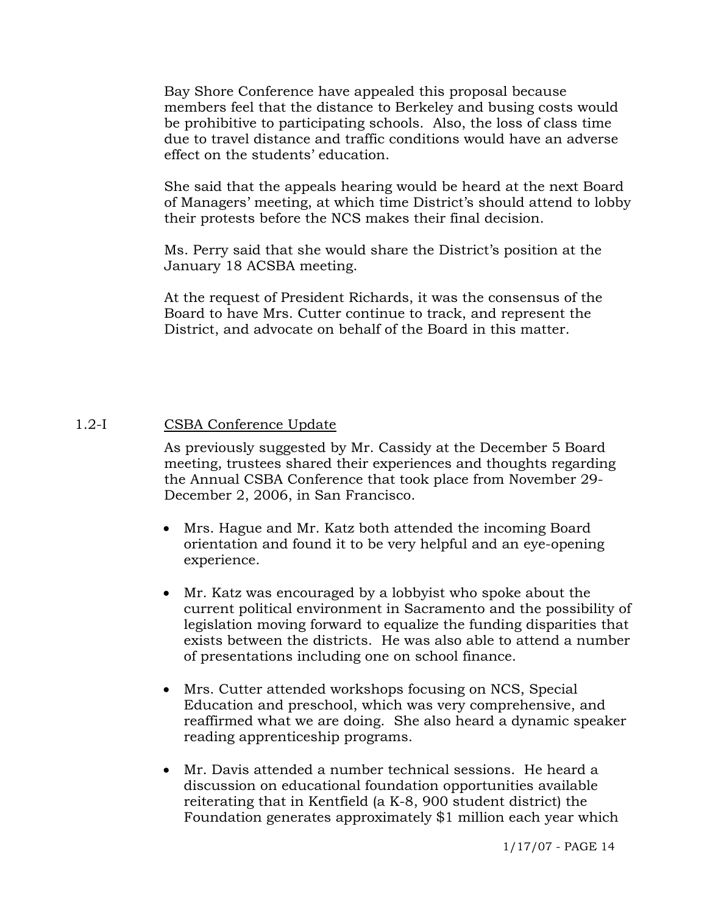Bay Shore Conference have appealed this proposal because members feel that the distance to Berkeley and busing costs would be prohibitive to participating schools. Also, the loss of class time due to travel distance and traffic conditions would have an adverse effect on the students' education.

She said that the appeals hearing would be heard at the next Board of Managers' meeting, at which time District's should attend to lobby their protests before the NCS makes their final decision.

Ms. Perry said that she would share the District's position at the January 18 ACSBA meeting.

At the request of President Richards, it was the consensus of the Board to have Mrs. Cutter continue to track, and represent the District, and advocate on behalf of the Board in this matter.

#### 1.2-I CSBA Conference Update

As previously suggested by Mr. Cassidy at the December 5 Board meeting, trustees shared their experiences and thoughts regarding the Annual CSBA Conference that took place from November 29- December 2, 2006, in San Francisco.

- Mrs. Hague and Mr. Katz both attended the incoming Board orientation and found it to be very helpful and an eye-opening experience.
- Mr. Katz was encouraged by a lobbyist who spoke about the current political environment in Sacramento and the possibility of legislation moving forward to equalize the funding disparities that exists between the districts. He was also able to attend a number of presentations including one on school finance.
- Mrs. Cutter attended workshops focusing on NCS, Special Education and preschool, which was very comprehensive, and reaffirmed what we are doing. She also heard a dynamic speaker reading apprenticeship programs.
- Mr. Davis attended a number technical sessions. He heard a discussion on educational foundation opportunities available reiterating that in Kentfield (a K-8, 900 student district) the Foundation generates approximately \$1 million each year which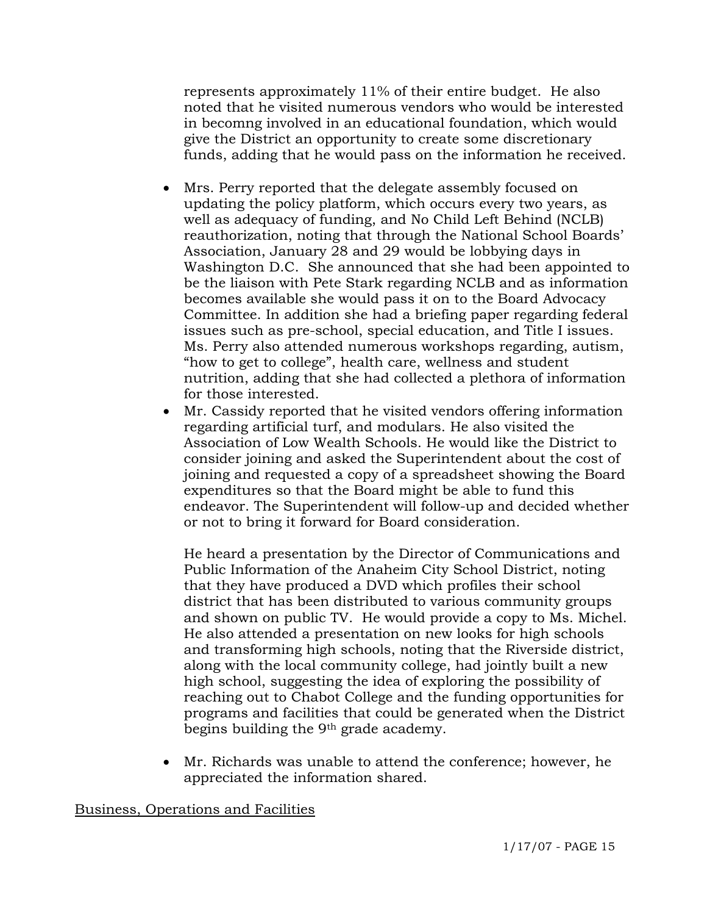represents approximately 11% of their entire budget. He also noted that he visited numerous vendors who would be interested in becomng involved in an educational foundation, which would give the District an opportunity to create some discretionary funds, adding that he would pass on the information he received.

- Mrs. Perry reported that the delegate assembly focused on updating the policy platform, which occurs every two years, as well as adequacy of funding, and No Child Left Behind (NCLB) reauthorization, noting that through the National School Boards' Association, January 28 and 29 would be lobbying days in Washington D.C. She announced that she had been appointed to be the liaison with Pete Stark regarding NCLB and as information becomes available she would pass it on to the Board Advocacy Committee. In addition she had a briefing paper regarding federal issues such as pre-school, special education, and Title I issues. Ms. Perry also attended numerous workshops regarding, autism, "how to get to college", health care, wellness and student nutrition, adding that she had collected a plethora of information for those interested.
- Mr. Cassidy reported that he visited vendors offering information regarding artificial turf, and modulars. He also visited the Association of Low Wealth Schools. He would like the District to consider joining and asked the Superintendent about the cost of joining and requested a copy of a spreadsheet showing the Board expenditures so that the Board might be able to fund this endeavor. The Superintendent will follow-up and decided whether or not to bring it forward for Board consideration.

 He heard a presentation by the Director of Communications and Public Information of the Anaheim City School District, noting that they have produced a DVD which profiles their school district that has been distributed to various community groups and shown on public TV. He would provide a copy to Ms. Michel. He also attended a presentation on new looks for high schools and transforming high schools, noting that the Riverside district, along with the local community college, had jointly built a new high school, suggesting the idea of exploring the possibility of reaching out to Chabot College and the funding opportunities for programs and facilities that could be generated when the District begins building the 9th grade academy.

• Mr. Richards was unable to attend the conference; however, he appreciated the information shared.

## Business, Operations and Facilities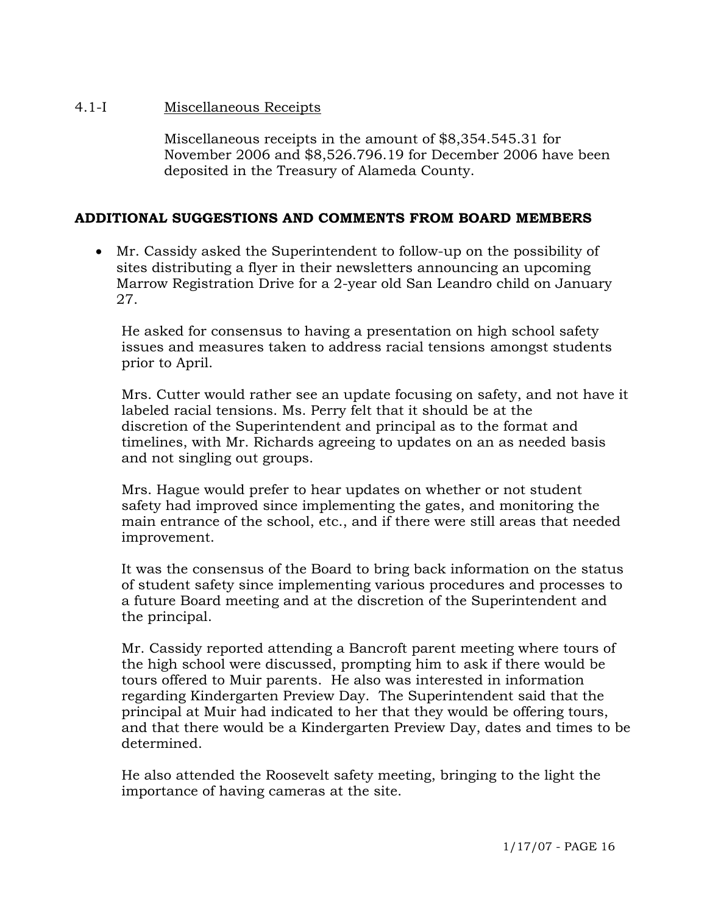### 4.1-I Miscellaneous Receipts

Miscellaneous receipts in the amount of \$8,354.545.31 for November 2006 and \$8,526.796.19 for December 2006 have been deposited in the Treasury of Alameda County.

## **ADDITIONAL SUGGESTIONS AND COMMENTS FROM BOARD MEMBERS**

• Mr. Cassidy asked the Superintendent to follow-up on the possibility of sites distributing a flyer in their newsletters announcing an upcoming Marrow Registration Drive for a 2-year old San Leandro child on January 27.

 He asked for consensus to having a presentation on high school safety issues and measures taken to address racial tensions amongst students prior to April.

 Mrs. Cutter would rather see an update focusing on safety, and not have it labeled racial tensions. Ms. Perry felt that it should be at the discretion of the Superintendent and principal as to the format and timelines, with Mr. Richards agreeing to updates on an as needed basis and not singling out groups.

 Mrs. Hague would prefer to hear updates on whether or not student safety had improved since implementing the gates, and monitoring the main entrance of the school, etc., and if there were still areas that needed improvement.

 It was the consensus of the Board to bring back information on the status of student safety since implementing various procedures and processes to a future Board meeting and at the discretion of the Superintendent and the principal.

 Mr. Cassidy reported attending a Bancroft parent meeting where tours of the high school were discussed, prompting him to ask if there would be tours offered to Muir parents. He also was interested in information regarding Kindergarten Preview Day. The Superintendent said that the principal at Muir had indicated to her that they would be offering tours, and that there would be a Kindergarten Preview Day, dates and times to be determined.

 He also attended the Roosevelt safety meeting, bringing to the light the importance of having cameras at the site.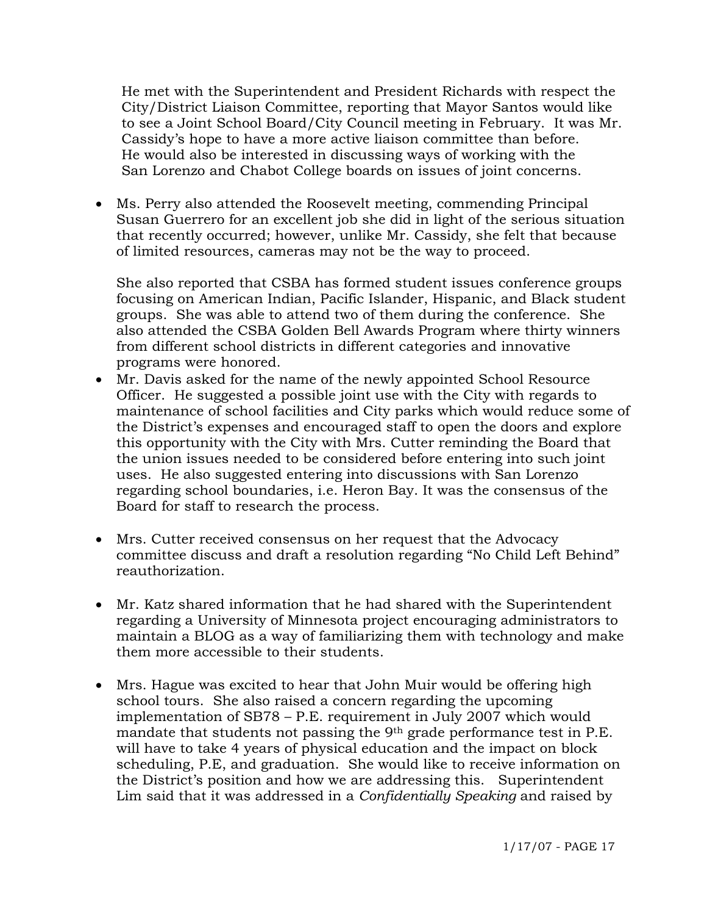He met with the Superintendent and President Richards with respect the City/District Liaison Committee, reporting that Mayor Santos would like to see a Joint School Board/City Council meeting in February. It was Mr. Cassidy's hope to have a more active liaison committee than before. He would also be interested in discussing ways of working with the San Lorenzo and Chabot College boards on issues of joint concerns.

• Ms. Perry also attended the Roosevelt meeting, commending Principal Susan Guerrero for an excellent job she did in light of the serious situation that recently occurred; however, unlike Mr. Cassidy, she felt that because of limited resources, cameras may not be the way to proceed.

She also reported that CSBA has formed student issues conference groups focusing on American Indian, Pacific Islander, Hispanic, and Black student groups. She was able to attend two of them during the conference. She also attended the CSBA Golden Bell Awards Program where thirty winners from different school districts in different categories and innovative programs were honored.

- Mr. Davis asked for the name of the newly appointed School Resource Officer. He suggested a possible joint use with the City with regards to maintenance of school facilities and City parks which would reduce some of the District's expenses and encouraged staff to open the doors and explore this opportunity with the City with Mrs. Cutter reminding the Board that the union issues needed to be considered before entering into such joint uses. He also suggested entering into discussions with San Lorenzo regarding school boundaries, i.e. Heron Bay. It was the consensus of the Board for staff to research the process.
- Mrs. Cutter received consensus on her request that the Advocacy committee discuss and draft a resolution regarding "No Child Left Behind" reauthorization.
- Mr. Katz shared information that he had shared with the Superintendent regarding a University of Minnesota project encouraging administrators to maintain a BLOG as a way of familiarizing them with technology and make them more accessible to their students.
- Mrs. Hague was excited to hear that John Muir would be offering high school tours. She also raised a concern regarding the upcoming implementation of SB78 – P.E. requirement in July 2007 which would mandate that students not passing the 9<sup>th</sup> grade performance test in P.E. will have to take 4 years of physical education and the impact on block scheduling, P.E, and graduation. She would like to receive information on the District's position and how we are addressing this. Superintendent Lim said that it was addressed in a *Confidentially Speaking* and raised by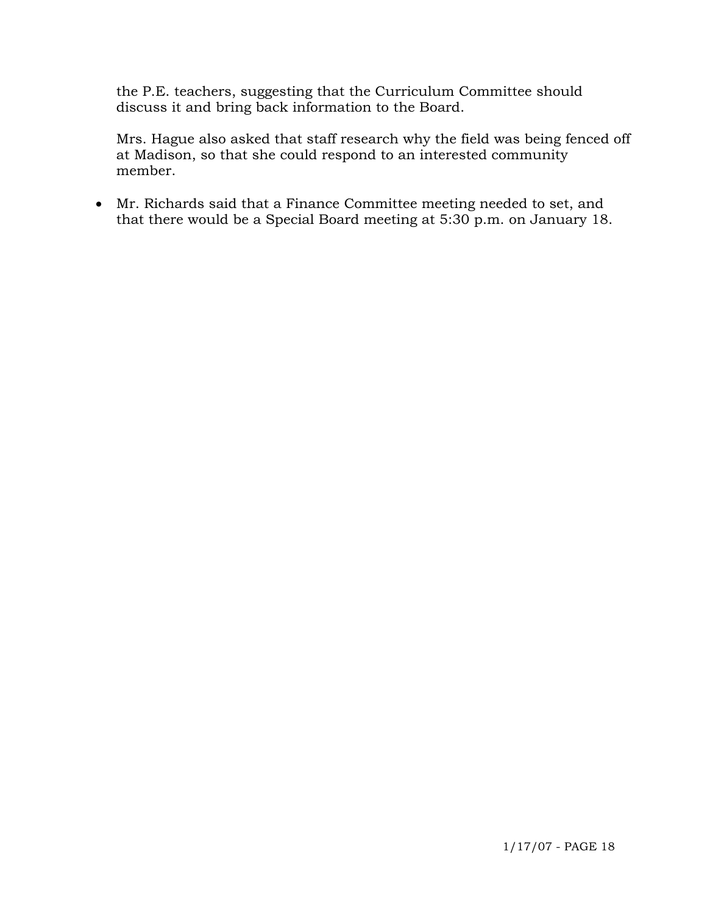the P.E. teachers, suggesting that the Curriculum Committee should discuss it and bring back information to the Board.

 Mrs. Hague also asked that staff research why the field was being fenced off at Madison, so that she could respond to an interested community member.

• Mr. Richards said that a Finance Committee meeting needed to set, and that there would be a Special Board meeting at 5:30 p.m. on January 18.